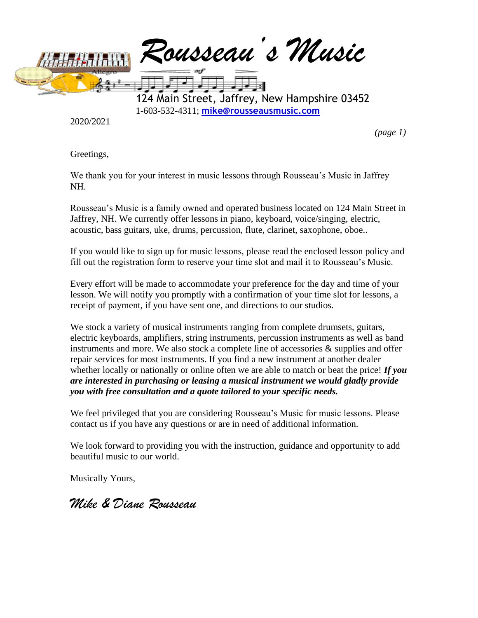

2020/2021

*(page 1)*

Greetings,

We thank you for your interest in music lessons through Rousseau's Music in Jaffrey NH.

Rousseau's Music is a family owned and operated business located on 124 Main Street in Jaffrey, NH. We currently offer lessons in piano, keyboard, voice/singing, electric, acoustic, bass guitars, uke, drums, percussion, flute, clarinet, saxophone, oboe..

If you would like to sign up for music lessons, please read the enclosed lesson policy and fill out the registration form to reserve your time slot and mail it to Rousseau's Music.

Every effort will be made to accommodate your preference for the day and time of your lesson. We will notify you promptly with a confirmation of your time slot for lessons, a receipt of payment, if you have sent one, and directions to our studios.

We stock a variety of musical instruments ranging from complete drumsets, guitars, electric keyboards, amplifiers, string instruments, percussion instruments as well as band instruments and more. We also stock a complete line of accessories  $\&$  supplies and offer repair services for most instruments. If you find a new instrument at another dealer whether locally or nationally or online often we are able to match or beat the price! *If you are interested in purchasing or leasing a musical instrument we would gladly provide you with free consultation and a quote tailored to your specific needs.*

We feel privileged that you are considering Rousseau's Music for music lessons. Please contact us if you have any questions or are in need of additional information.

We look forward to providing you with the instruction, guidance and opportunity to add beautiful music to our world.

Musically Yours,

*Mike & Diane Rousseau*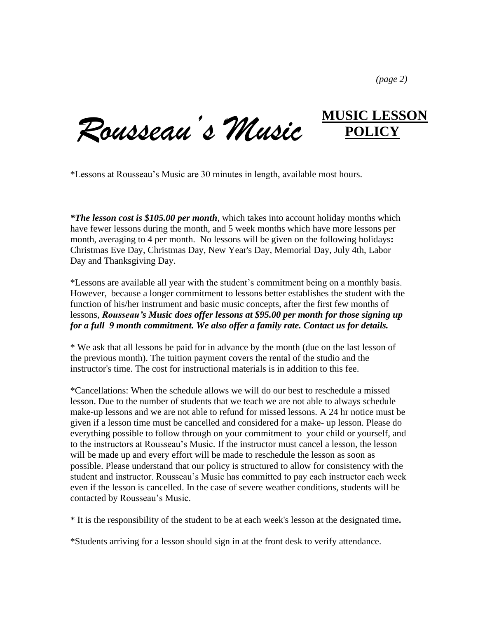*(page 2)*

**MUSIC LESSON** *Rousseau's Music* **POLICY**

\*Lessons at Rousseau's Music are 30 minutes in length, available most hours.

*\*The lesson cost is \$105.00 per month*, which takes into account holiday months which have fewer lessons during the month, and 5 week months which have more lessons per month, averaging to 4 per month. No lessons will be given on the following holidays**:** Christmas Eve Day, Christmas Day, New Year's Day, Memorial Day, July 4th, Labor Day and Thanksgiving Day.

\*Lessons are available all year with the student's commitment being on a monthly basis. However, because a longer commitment to lessons better establishes the student with the function of his/her instrument and basic music concepts, after the first few months of lessons, *Rousseau's Music does offer lessons at \$95.00 per month for those signing up for a full 9 month commitment. We also offer a family rate. Contact us for details.*

\* We ask that all lessons be paid for in advance by the month (due on the last lesson of the previous month). The tuition payment covers the rental of the studio and the instructor's time. The cost for instructional materials is in addition to this fee.

\*Cancellations: When the schedule allows we will do our best to reschedule a missed lesson. Due to the number of students that we teach we are not able to always schedule make-up lessons and we are not able to refund for missed lessons. A 24 hr notice must be given if a lesson time must be cancelled and considered for a make- up lesson. Please do everything possible to follow through on your commitment to your child or yourself, and to the instructors at Rousseau's Music. If the instructor must cancel a lesson, the lesson will be made up and every effort will be made to reschedule the lesson as soon as possible. Please understand that our policy is structured to allow for consistency with the student and instructor. Rousseau's Music has committed to pay each instructor each week even if the lesson is cancelled. In the case of severe weather conditions, students will be contacted by Rousseau's Music.

\* It is the responsibility of the student to be at each week's lesson at the designated time**.**

\*Students arriving for a lesson should sign in at the front desk to verify attendance.